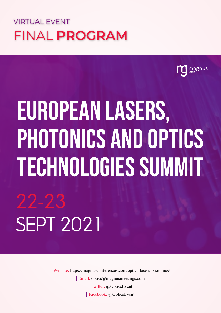## VIRTUAL EVENT FINAL **PROGRAM**



# European Lasers, PHOTONICS AND OPTICS Technologies Summit 22-23 Sept 2021

Twitter: @OpticsEvent Email: optics@magnusmeetings.com Facebook: @OpticsEvent Website: https://magnusconferences.com/optics-lasers-photonics/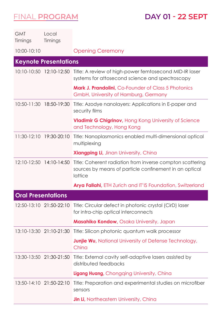**DAY 01 - 22 SEPT**

| <b>GMT</b><br>Timings     | Local<br>Timings             |                                                                                                                                   |
|---------------------------|------------------------------|-----------------------------------------------------------------------------------------------------------------------------------|
| 10:00-10:10               |                              | <b>Opening Ceremony</b>                                                                                                           |
|                           | <b>Keynote Presentations</b> |                                                                                                                                   |
|                           |                              | 10:10-10:50 12:10-12:50 Title: A review of high-power femtosecond MID-IR laser<br>systems for attosecond science and spectroscopy |
|                           |                              | <b>Mark J. Prandolini</b> , Co-Founder of Class 5 Photonics<br>GmbH, University of Hamburg, Germany                               |
|                           | 10:50-11:30 18:50-19:30      | Title: Azodye nanolayers: Applications in E-paper and<br>security films                                                           |
|                           |                              | <b>Vladimir G Chigrinov</b> , Hong Kong University of Science<br>and Technology, Hong Kong                                        |
| $11:30-12:10$             | 19:30-20:10                  | Title: Nanoplasmonics enabled multi-dimensional optical<br>multiplexing                                                           |
|                           |                              | <b>Xiangping Li, Jinan University, China</b>                                                                                      |
|                           | 12:10-12:50 14:10-14:50      | Title: Coherent radiation from inverse compton scattering<br>sources by means of particle confinement in an optical<br>lattice    |
|                           |                              | Arya Fallahi, ETH Zurich and IT'IS Foundation, Switzerland                                                                        |
| <b>Oral Presentations</b> |                              |                                                                                                                                   |
|                           | 12:50-13:10 21:50-22:10      | Title: Circular defect in photonic crystal (CirD) laser<br>for intra-chip optical interconnects                                   |
|                           |                              | <b>Masahiko Kondow, Osaka University, Japan</b>                                                                                   |
|                           | 13:10-13:30 21:10-21:30      | Title: Silicon photonic quantum walk processor                                                                                    |
|                           |                              | <b>Junjie Wu, National University of Defense Technology,</b><br>China                                                             |
|                           | 13:30-13:50 21:30-21:50      | Title: External cavity self-adaptive lasers assisted by<br>distributed feedbacks                                                  |
|                           |                              | <b>Ligang Huang, Chongqing University, China</b>                                                                                  |
| $13:50 - 14:10$           | 21:50-22:10                  | Title: Preparation and experimental studies on microfiber<br>sensors                                                              |
|                           |                              | <b>Jin Li</b> , Northeastern University, China                                                                                    |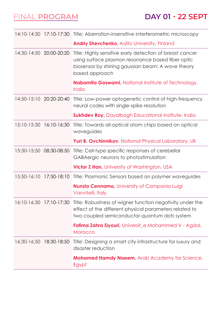#### **DAY 01 - 22 SEPT**

|                 |                          | 14:10-14:30 17:10-17:30 Title: Aberration-insensitive interferometric microscopy                                                                                                             |
|-----------------|--------------------------|----------------------------------------------------------------------------------------------------------------------------------------------------------------------------------------------|
|                 |                          | <b>Andriy Shevchenko, Aalto University, Finland</b>                                                                                                                                          |
|                 | 14:30-14:50 20:00-20:20  | Title: Highly sensitive early detection of breast cancer<br>using surface plasmon resonance based fiber optic<br>biosensor by shining gaussian beam: A wave theory<br>based approach         |
|                 |                          | Nabamita Goswami, National Institute of Technology,<br>India                                                                                                                                 |
|                 | 14:50-15:10 20:20-20:40  | Title: Low-power optogenetic control of high-frequency<br>neural codes with single-spike resolution                                                                                          |
|                 |                          | <b>Sukhdev Roy, Dayalbagh Educational Institute, India</b>                                                                                                                                   |
|                 | 15:10-15:30  16:10-16:30 | Title: Towards all-optical atom chips based on optical<br>waveguides                                                                                                                         |
|                 |                          | Yuri B. Ovchinnikov, National Physical Laboratory, UK                                                                                                                                        |
|                 | 15:30-15:50 08:30-08:50  | Title: Cell-type specific responses of cerebellar<br>GABAergic neurons to photostimulation                                                                                                   |
|                 |                          | <b>Victor Z Han, University of Washington, USA</b>                                                                                                                                           |
| $15:50 - 16:10$ | 17:50-18:10              | Title: Plasmonic Sensors based on polymer waveguides                                                                                                                                         |
|                 |                          | <b>Nunzio Cennamo, University of Campania Luigi</b><br>Vanvitelli, Italy                                                                                                                     |
|                 |                          | 16:10-16:30 17:10-17:30 Title: Robustness of wigner function negativity under the<br>effect of the different physical parameters related to<br>two coupled semiconductor quantum dots system |
|                 |                          | <b>Fatima Zahra Siyouri</b> , Universit_e Mohammed V - Agdal,<br>Morocco                                                                                                                     |
|                 | 16:30-16:50 18:30-18:50  | Title: Designing a smart city infrastructure for luxury and<br>disaster reduction                                                                                                            |
|                 |                          | <b>Mohamed Hamdy Naeem, Arab Academy for Science,</b><br>Egypt                                                                                                                               |
|                 |                          |                                                                                                                                                                                              |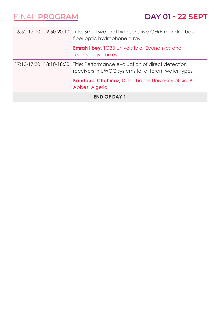| <b>END OF DAY 1</b> |  |                                                                                                                                  |
|---------------------|--|----------------------------------------------------------------------------------------------------------------------------------|
|                     |  | <b>Kandouci Chahinaz, Djillali Liabes University of Sidi Bel</b><br>Abbes, Algeria                                               |
|                     |  | 17:10-17:30 18:10-18:30 Title: Performance evaluation of direct detection<br>receivers in UWOC systems for different water types |
|                     |  | <b>Emrah Ilbey, TOBB University of Economics and</b><br>Technology, Turkey                                                       |
|                     |  | 16:50-17:10 19:50-20:10 Title: Small size and high sensitive GFRP mandrel based<br>fiber optic hydrophone array                  |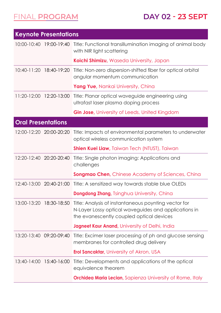| <b>Keynote Presentations</b> |                         |                                                                                                                                                          |
|------------------------------|-------------------------|----------------------------------------------------------------------------------------------------------------------------------------------------------|
|                              |                         | 10:00-10:40 19:00-19:40 Title: Functional transillumination imaging of animal body<br>with NIR light scattering                                          |
|                              |                         | Koichi Shimizu, Waseda University, Japan                                                                                                                 |
| $10:40-11:20$                | 18:40-19:20             | Title: Non-zero dispersion-shifted fiber for optical orbital<br>angular momentum communication                                                           |
|                              |                         | Yang Yue, Nankai University, China                                                                                                                       |
|                              | 11:20-12:00 12:20-13:00 | Title: Planar optical waveguide engineering using<br>ultrafast laser plasma doping process                                                               |
|                              |                         | <b>Gin Jose, University of Leeds, United Kingdom</b>                                                                                                     |
| <b>Oral Presentations</b>    |                         |                                                                                                                                                          |
|                              | 12:00-12:20 20:00-20:20 | Title: Impacts of environmental parameters to underwater<br>optical wireless communication system                                                        |
|                              |                         | <b>Shien Kuei Liaw</b> , Taiwan Tech (NTUST), Taiwan                                                                                                     |
|                              | 12:20-12:40 20:20-20:40 | Title: Single photon imaging: Applications and<br>challenges                                                                                             |
|                              |                         | <b>Songmao Chen, Chinese Academy of Sciences, China</b>                                                                                                  |
| 12:40-13:00                  | 20:40-21:00             | Title: A sensitized way towards stable blue OLEDs                                                                                                        |
|                              |                         | <b>Dongdong Zhang, Tsinghua University, China</b>                                                                                                        |
| 13:00-13:20                  | 18:30-18:50             | Title: Analysis of instantaneous poynting vector for<br>N-Layer Lossy optical waveguides and applications in<br>the evanescently coupled optical devices |
|                              |                         | <b>Jagneet Kaur Anand</b> , University of Delhi, India                                                                                                   |
|                              | 13:20-13:40 09:20-09:40 | Title: Excimer laser processing of ph and glucose sensing<br>membranes for controlled drug delivery                                                      |
|                              |                         | <b>Erol Sancaktar</b> , University of Akron, USA                                                                                                         |
| $13:40 - 14:00$              | 15:40-16:00             | Title: Developments and applications of the optical<br>equivalence theorem                                                                               |
|                              |                         | <b>Orchidea Maria Lecian, Sapienza University of Rome, Italy</b>                                                                                         |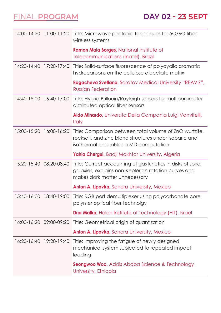|                 |                         | 14:00-14:20 11:00-11:20 Title: Microwave photonic techniques for 5G/6G fiber-<br>wireless systems                                                          |
|-----------------|-------------------------|------------------------------------------------------------------------------------------------------------------------------------------------------------|
|                 |                         | Ramon Maia Borges, National Institute of<br>Telecommunications (Inatel), Brazil                                                                            |
| $14:20 - 14:40$ | 17:20-17:40             | Title: Solid-surface fluorescence of polycyclic aromatic<br>hydrocarbons on the cellulose diacetate matrix                                                 |
|                 |                         | Rogacheva Svetlana, Saratov Medical University "REAVIZ",<br><b>Russian Federation</b>                                                                      |
|                 | 14:40-15:00 16:40-17:00 | Title: Hybrid Brillouin/Rayleigh sensors for multiparameter<br>distributed optical fiber sensors                                                           |
|                 |                         | Aldo Minardo, Universita Della Campania Luigi Vanvitelli,<br><b>Italy</b>                                                                                  |
|                 | 15:00-15:20 16:00-16:20 | Title: Comparison between total volume of ZnO wurtzite,<br>rocksalt, and zinc blend structures under isobaric and<br>isothermal ensembles a MD computation |
|                 |                         | Yahia Chergui, Badji Mokhtar University, Algeria                                                                                                           |
|                 | 15:20-15:40 08:20-08:40 | Title: Correct accounting of gas kinetics in disks of spiral<br>galaxies, explains non-Keplerian rotation curves and<br>makes dark matter unnecessary      |
|                 |                         | Anton A. Lipovka, Sonora University, Mexico                                                                                                                |
|                 |                         | 15:40-16:00 18:40-19:00 Title: RGB port demultiplexer using polycarbonate core<br>polymer optical fiber technolgy                                          |
|                 |                         | <b>Dror Malka, Holon Institute of Technology (HIT), Israel</b>                                                                                             |
|                 |                         | 16:00-16:20 09:00-09:20 Title: Geometrical origin of quantization                                                                                          |
|                 |                         | <b>Anton A. Lipovka, Sonora University, Mexico</b>                                                                                                         |
|                 | 16:20-16:40 19:20-19:40 | Title: Improving the fatigue of newly designed<br>mechanical system subjected to repeated impact<br>loading                                                |
|                 |                         | <b>Seongwoo Woo, Addis Ababa Science &amp; Technology</b><br>University, Ethiopia                                                                          |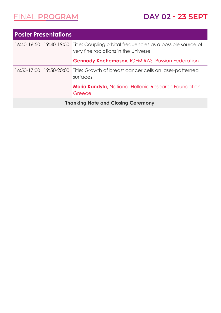| <b>Poster Presentations</b>               |  |                                                                                                                             |  |
|-------------------------------------------|--|-----------------------------------------------------------------------------------------------------------------------------|--|
|                                           |  | 16:40-16:50 19:40-19:50 Title: Coupling orbital frequencies as a possible source of<br>very fine radiations in the Universe |  |
|                                           |  | <b>Gennady Kochemasov, IGEM RAS, Russian Federation</b>                                                                     |  |
|                                           |  | 16:50-17:00 19:50-20:00 Title: Growth of breast cancer cells on laser-patterned<br>surfaces                                 |  |
|                                           |  | Maria Kandyla, National Hellenic Research Foundation,<br>Greece                                                             |  |
| <b>Thanking Note and Closing Ceremony</b> |  |                                                                                                                             |  |